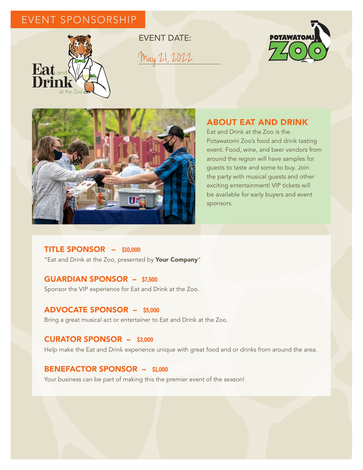# EVENT SPONSORSHIP



EVENT DATE: May 21, 2022





## ABOUT EAT AND DRINK

Eat and Drink at the Zoo is the Potawatomi Zoo's food and drink tasting event. Food, wine, and beer vendors from around the region will have samples for guests to taste and some to buy. Join the party with musical guests and other exciting entertainment! VIP tickets will be available for early buyers and event sponsors.

## TITLE SPONSOR – **\$10,000**

"Eat and Drink at the Zoo, presented by Your Company"

## GUARDIAN SPONSOR – **\$7,500**

Sponsor the VIP experience for Eat and Drink at the Zoo.

#### ADVOCATE SPONSOR – **\$5,000**

Bring a great musical act or entertainer to Eat and Drink at the Zoo.

#### CURATOR SPONSOR – **\$3,000**

Help make the Eat and Drink experience unique with great food and or drinks from around the area.

#### BENEFACTOR SPONSOR – **\$1,000**

Your business can be part of making this the premier event of the season!